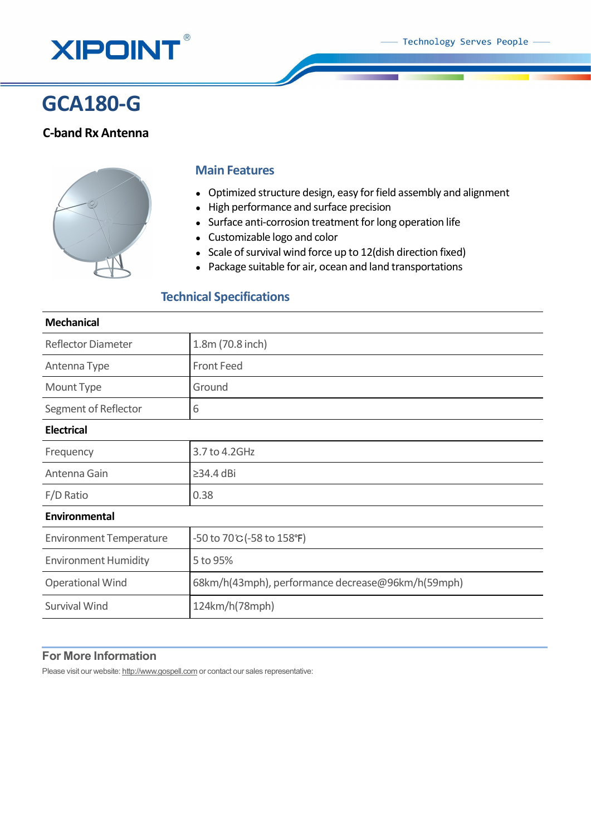

# **GCA180-G**

## **C-band Rx Antenna**



### **Main Features**

- Optimized structure design, easy for field assembly and alignment
- High performance and surface precision
- Surface anti-corrosion treatment for long operation life
- Customizable logo and color
- Scale of survival wind force up to 12(dish direction fixed)
- Package suitable for air, ocean and land transportations

## **Technical Specifications**

## **Mechanical**

| <b>Reflector Diameter</b>      | 1.8m (70.8 inch)                                  |
|--------------------------------|---------------------------------------------------|
| Antenna Type                   | <b>Front Feed</b>                                 |
| Mount Type                     | Ground                                            |
| Segment of Reflector           | 6                                                 |
| <b>Electrical</b>              |                                                   |
| Frequency                      | 3.7 to 4.2GHz                                     |
| Antenna Gain                   | $\geq$ 34.4 dBi                                   |
| F/D Ratio                      | 0.38                                              |
| Environmental                  |                                                   |
| <b>Environment Temperature</b> | -50 to 70℃ (-58 to 158°F)                         |
| <b>Environment Humidity</b>    | 5 to 95%                                          |
| <b>Operational Wind</b>        | 68km/h(43mph), performance decrease@96km/h(59mph) |
| <b>Survival Wind</b>           | 124km/h(78mph)                                    |
|                                |                                                   |

## **For More Information**

Please visit our website: http://www.gospell.com or contact our sales representative: